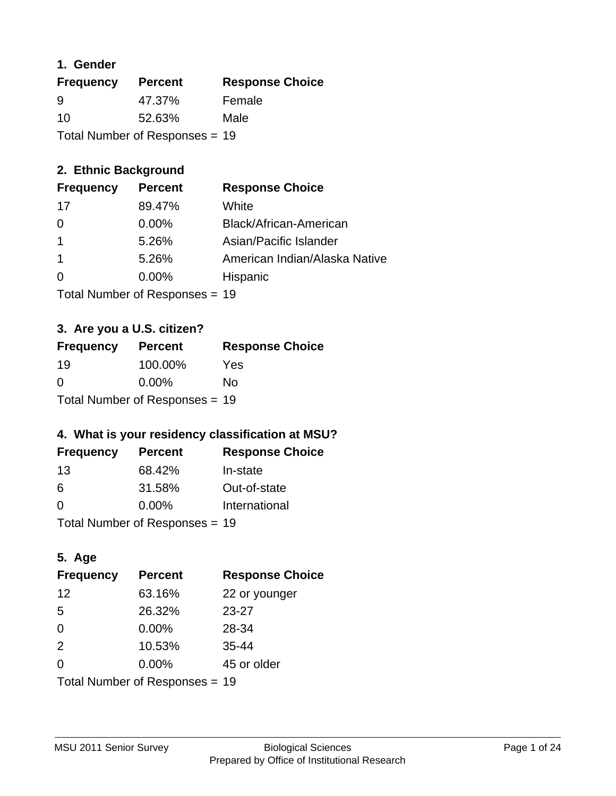#### **1. Gender**

| <b>Frequency</b>               | <b>Percent</b> | <b>Response Choice</b> |
|--------------------------------|----------------|------------------------|
| 9                              | 47.37%         | Female                 |
| 10                             | 52.63%         | Male                   |
| Total Number of Responses = 19 |                |                        |

## **2. Ethnic Background**

| <b>Frequency</b> | <b>Percent</b> | <b>Response Choice</b>        |
|------------------|----------------|-------------------------------|
| 17               | 89.47%         | White                         |
| 0                | $0.00\%$       | Black/African-American        |
|                  | 5.26%          | Asian/Pacific Islander        |
|                  | 5.26%          | American Indian/Alaska Native |
|                  | 0.00%          | Hispanic                      |
|                  |                |                               |

Total Number of Responses = 19

## **3. Are you a U.S. citizen?**

| <b>Frequency</b>               | <b>Percent</b> | <b>Response Choice</b> |
|--------------------------------|----------------|------------------------|
| -19                            | 100.00%        | Yes                    |
| $\Omega$                       | $0.00\%$       | Nο                     |
| Total Number of Responses = 19 |                |                        |

## **4. What is your residency classification at MSU?**

| <b>Frequency</b> | <b>Percent</b> | <b>Response Choice</b> |
|------------------|----------------|------------------------|
| -13              | 68.42%         | In-state               |
| 6                | 31.58%         | Out-of-state           |
| $\Omega$         | $0.00\%$       | International          |
|                  |                |                        |

Total Number of Responses = 19

## **5. Age**

| <b>Frequency</b>               | <b>Percent</b> | <b>Response Choice</b> |
|--------------------------------|----------------|------------------------|
| 12                             | 63.16%         | 22 or younger          |
| 5                              | 26.32%         | $23 - 27$              |
| $\Omega$                       | 0.00%          | 28-34                  |
| 2                              | 10.53%         | $35 - 44$              |
| 0                              | 0.00%          | 45 or older            |
| Total Number of Responses = 19 |                |                        |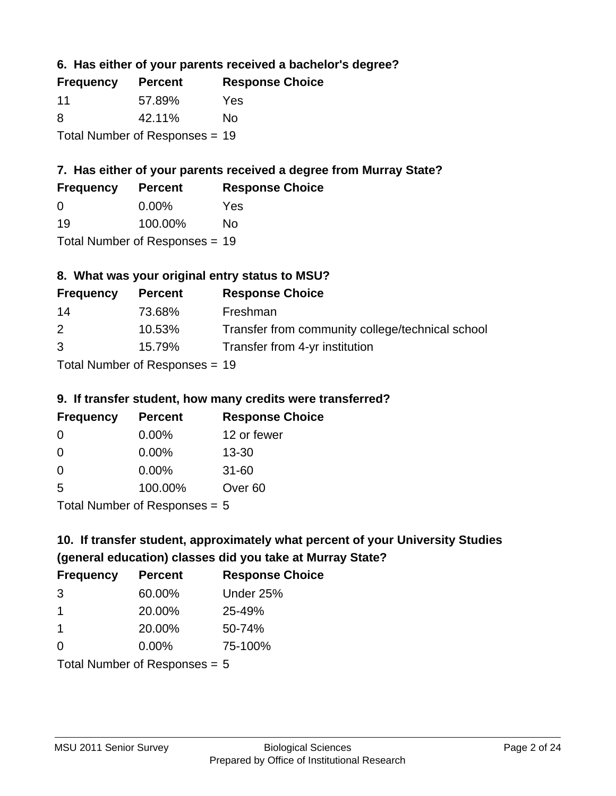## **6. Has either of your parents received a bachelor's degree?**

| <b>Frequency</b>               | <b>Percent</b> | <b>Response Choice</b> |
|--------------------------------|----------------|------------------------|
| -11                            | 57.89%         | Yes                    |
| 8                              | 42.11%         | No                     |
| Total Number of Responses = 19 |                |                        |

## **7. Has either of your parents received a degree from Murray State?**

| <b>Frequency</b> | <b>Percent</b> | <b>Response Choice</b> |
|------------------|----------------|------------------------|
| $\Omega$         | $0.00\%$       | Yes                    |
| 19               | 100.00%        | No                     |
| — <u>.</u>       |                |                        |

Total Number of Responses = 19

## **8. What was your original entry status to MSU?**

| <b>Frequency</b> | <b>Percent</b>            | <b>Response Choice</b>                           |
|------------------|---------------------------|--------------------------------------------------|
| 14               | 73.68%                    | Freshman                                         |
| 2                | 10.53%                    | Transfer from community college/technical school |
| 3                | 15.79%                    | Transfer from 4-yr institution                   |
|                  | Total Number of Despenses |                                                  |

Total Number of Responses = 19

#### **9. If transfer student, how many credits were transferred?**

| <b>Frequency</b>            | <b>Percent</b> | <b>Response Choice</b> |
|-----------------------------|----------------|------------------------|
| -0                          | $0.00\%$       | 12 or fewer            |
| 0                           | $0.00\%$       | $13 - 30$              |
| 0                           | $0.00\%$       | $31 - 60$              |
| -5                          | 100.00%        | Over <sub>60</sub>     |
| Total Number of Desponses E |                |                        |

Total Number of Responses = 5

## **10. If transfer student, approximately what percent of your University Studies (general education) classes did you take at Murray State?**

| <b>Frequency</b>               | <b>Percent</b> | <b>Response Choice</b> |
|--------------------------------|----------------|------------------------|
| 3                              | 60.00%         | Under 25%              |
| -1                             | 20.00%         | 25-49%                 |
| -1                             | 20.00%         | 50-74%                 |
| $\Omega$                       | 0.00%          | 75-100%                |
| Total Number of Responses $-5$ |                |                        |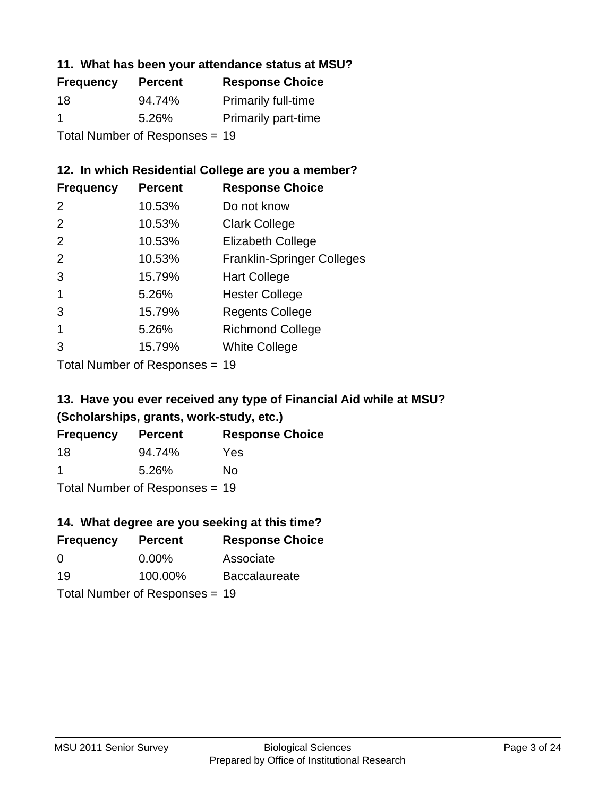#### **11. What has been your attendance status at MSU?**

| <b>Frequency</b>               | <b>Percent</b> | <b>Response Choice</b>     |
|--------------------------------|----------------|----------------------------|
| 18                             | 94.74%         | <b>Primarily full-time</b> |
| -1                             | 5.26%          | <b>Primarily part-time</b> |
| Total Number of Responses = 19 |                |                            |

## **12. In which Residential College are you a member?**

| <b>Frequency</b> | <b>Percent</b> | <b>Response Choice</b>            |
|------------------|----------------|-----------------------------------|
| 2                | 10.53%         | Do not know                       |
| 2                | 10.53%         | <b>Clark College</b>              |
| $\mathcal{P}$    | 10.53%         | <b>Elizabeth College</b>          |
| $\mathcal{P}$    | 10.53%         | <b>Franklin-Springer Colleges</b> |
| 3                | 15.79%         | <b>Hart College</b>               |
| 1                | 5.26%          | <b>Hester College</b>             |
| 3                | 15.79%         | <b>Regents College</b>            |
|                  | 5.26%          | <b>Richmond College</b>           |
| 3                | 15.79%         | <b>White College</b>              |

Total Number of Responses = 19

## **13. Have you ever received any type of Financial Aid while at MSU? (Scholarships, grants, work-study, etc.)**

| <b>Frequency</b> | <b>Percent</b>             | <b>Response Choice</b> |
|------------------|----------------------------|------------------------|
| 18               | 94.74%                     | Yes                    |
| -1               | 5.26%                      | Nο                     |
|                  | Total Number of Desperance |                        |

Total Number of Responses = 19

## **14. What degree are you seeking at this time?**

| <b>Frequency</b> | <b>Percent</b>                 | <b>Response Choice</b> |
|------------------|--------------------------------|------------------------|
| 0                | $0.00\%$                       | Associate              |
| 19               | 100.00%                        | <b>Baccalaureate</b>   |
|                  | Total Number of Responses = 19 |                        |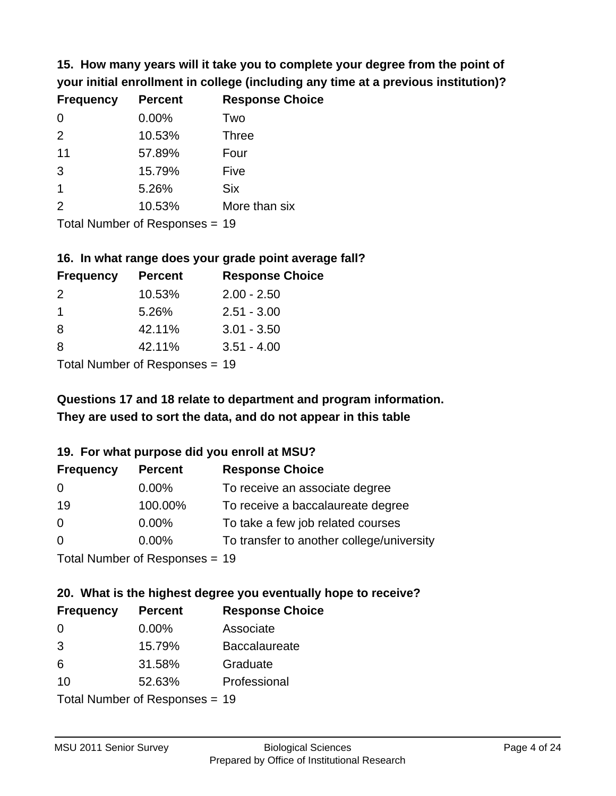**15. How many years will it take you to complete your degree from the point of your initial enrollment in college (including any time at a previous institution)?**

| <b>Frequency</b> | <b>Percent</b> | <b>Response Choice</b> |
|------------------|----------------|------------------------|
| $\Omega$         | 0.00%          | Two                    |
| 2                | 10.53%         | <b>Three</b>           |
| 11               | 57.89%         | Four                   |
| 3                | 15.79%         | Five                   |
| 1                | 5.26%          | <b>Six</b>             |
| $\mathcal{P}$    | 10.53%         | More than six          |
|                  |                |                        |

Total Number of Responses = 19

#### **16. In what range does your grade point average fall?**

| <b>Frequency</b> | <b>Percent</b> | <b>Response Choice</b> |
|------------------|----------------|------------------------|
| $\mathcal{P}$    | 10.53%         | $2.00 - 2.50$          |
| 1.               | 5.26%          | $2.51 - 3.00$          |
| -8               | 42.11%         | $3.01 - 3.50$          |
| 8                | 42.11%         | $3.51 - 4.00$          |
|                  |                |                        |

Total Number of Responses = 19

## **They are used to sort the data, and do not appear in this table Questions 17 and 18 relate to department and program information.**

#### **19. For what purpose did you enroll at MSU?**

| <b>Frequency</b>               | <b>Percent</b> | <b>Response Choice</b>                    |
|--------------------------------|----------------|-------------------------------------------|
| 0                              | $0.00\%$       | To receive an associate degree            |
| 19                             | 100.00%        | To receive a baccalaureate degree         |
| $\overline{0}$                 | $0.00\%$       | To take a few job related courses         |
| $\Omega$                       | $0.00\%$       | To transfer to another college/university |
| Total Number of Responses = 19 |                |                                           |

## **20. What is the highest degree you eventually hope to receive?**

| <b>Frequency</b> | <b>Percent</b>                 | <b>Response Choice</b> |
|------------------|--------------------------------|------------------------|
| 0                | $0.00\%$                       | Associate              |
| 3                | 15.79%                         | <b>Baccalaureate</b>   |
| 6                | 31.58%                         | Graduate               |
| 10               | 52.63%                         | Professional           |
|                  | Total Number of Responses = 19 |                        |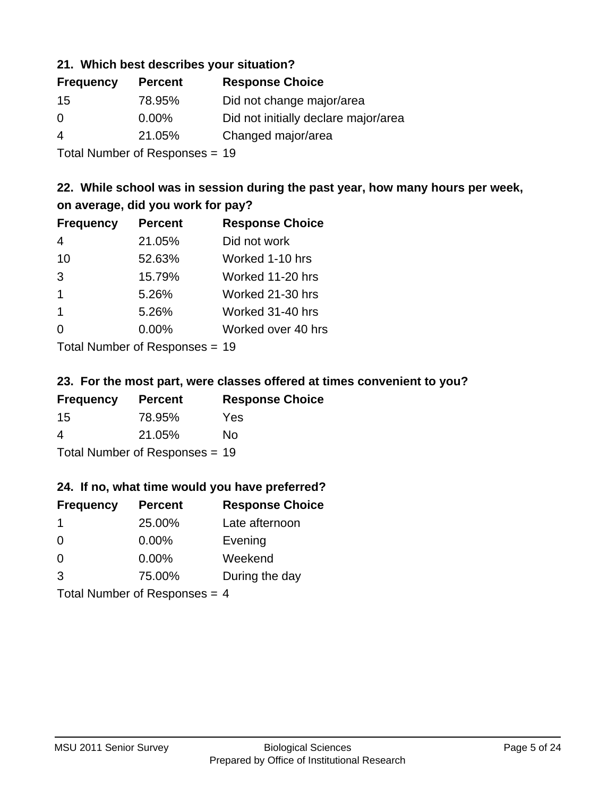#### **21. Which best describes your situation?**

| <b>Frequency</b> | <b>Percent</b> | <b>Response Choice</b>               |
|------------------|----------------|--------------------------------------|
| -15              | 78.95%         | Did not change major/area            |
| $\Omega$         | 0.00%          | Did not initially declare major/area |
| 4                | 21.05%         | Changed major/area                   |
|                  |                |                                      |

Total Number of Responses = 19

## **22. While school was in session during the past year, how many hours per week, on average, did you work for pay?**

| <b>Frequency</b> | <b>Percent</b> | <b>Response Choice</b> |
|------------------|----------------|------------------------|
| 4                | 21.05%         | Did not work           |
| 10               | 52.63%         | Worked 1-10 hrs        |
| 3                | 15.79%         | Worked 11-20 hrs       |
| $\mathbf 1$      | 5.26%          | Worked 21-30 hrs       |
| $\mathbf 1$      | 5.26%          | Worked 31-40 hrs       |
| $\Omega$         | 0.00%          | Worked over 40 hrs     |
|                  |                |                        |

Total Number of Responses = 19

#### **23. For the most part, were classes offered at times convenient to you?**

| <b>Frequency</b>               | <b>Percent</b> | <b>Response Choice</b> |
|--------------------------------|----------------|------------------------|
| -15                            | 78.95%         | Yes                    |
| 4                              | 21.05%         | No.                    |
| Total Number of Responses = 19 |                |                        |

#### **24. If no, what time would you have preferred?**

| <b>Frequency</b> | <b>Percent</b>                  | <b>Response Choice</b> |
|------------------|---------------------------------|------------------------|
| -1               | 25.00%                          | Late afternoon         |
| $\Omega$         | 0.00%                           | Evening                |
| 0                | $0.00\%$                        | Weekend                |
| 3                | 75.00%                          | During the day         |
|                  | Total Number of Responses = $4$ |                        |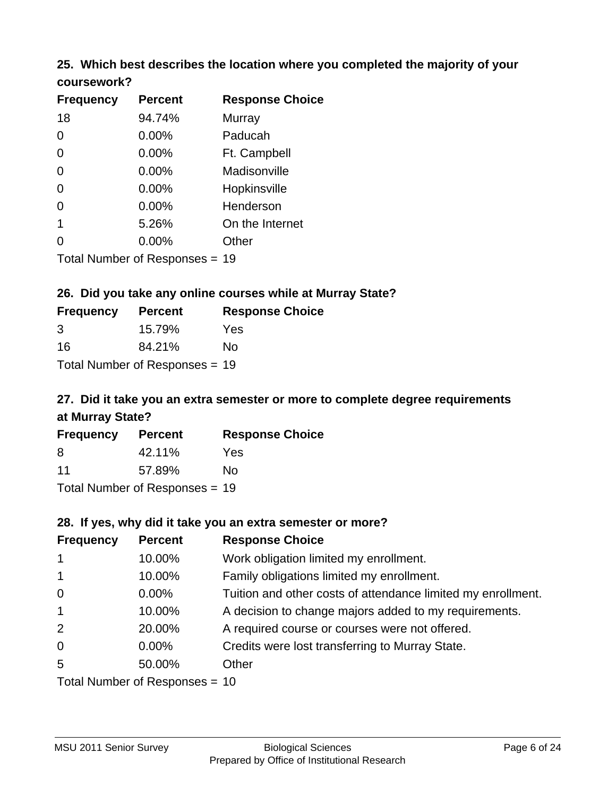## **25. Which best describes the location where you completed the majority of your**

| <b>Frequency</b> | <b>Percent</b>            | <b>Response Choice</b> |
|------------------|---------------------------|------------------------|
| 18               | 94.74%                    | <b>Murray</b>          |
| $\Omega$         | 0.00%                     | Paducah                |
| $\Omega$         | 0.00%                     | Ft. Campbell           |
| $\Omega$         | 0.00%                     | Madisonville           |
| $\overline{0}$   | 0.00%                     | Hopkinsville           |
| 0                | 0.00%                     | Henderson              |
| 1                | 5.26%                     | On the Internet        |
| 0                | 0.00%                     | Other                  |
|                  | Total Number of Despasses | 1 N                    |

Total Number of Responses = 19

**coursework?**

## **26. Did you take any online courses while at Murray State?**

| <b>Frequency</b> | <b>Percent</b>                 | <b>Response Choice</b> |
|------------------|--------------------------------|------------------------|
| 3                | 15.79%                         | Yes                    |
| 16               | 84.21%                         | No.                    |
|                  | Total Number of Responses = 19 |                        |

## **27. Did it take you an extra semester or more to complete degree requirements at Murray State?**

| <b>Frequency</b> | <b>Percent</b>                 | <b>Response Choice</b> |
|------------------|--------------------------------|------------------------|
| 8                | 42.11%                         | Yes                    |
| 11               | 57.89%                         | No                     |
|                  | Total Number of Responses = 19 |                        |

#### **28. If yes, why did it take you an extra semester or more?**

| <b>Frequency</b>               | <b>Percent</b> | <b>Response Choice</b>                                       |
|--------------------------------|----------------|--------------------------------------------------------------|
| $\overline{1}$                 | 10.00%         | Work obligation limited my enrollment.                       |
| $\mathbf{1}$                   | 10.00%         | Family obligations limited my enrollment.                    |
| $\mathbf 0$                    | 0.00%          | Tuition and other costs of attendance limited my enrollment. |
| $\overline{1}$                 | 10.00%         | A decision to change majors added to my requirements.        |
| 2                              | 20.00%         | A required course or courses were not offered.               |
| $\overline{0}$                 | $0.00\%$       | Credits were lost transferring to Murray State.              |
| 5                              | 50.00%         | Other                                                        |
| Total Number of Responses = 10 |                |                                                              |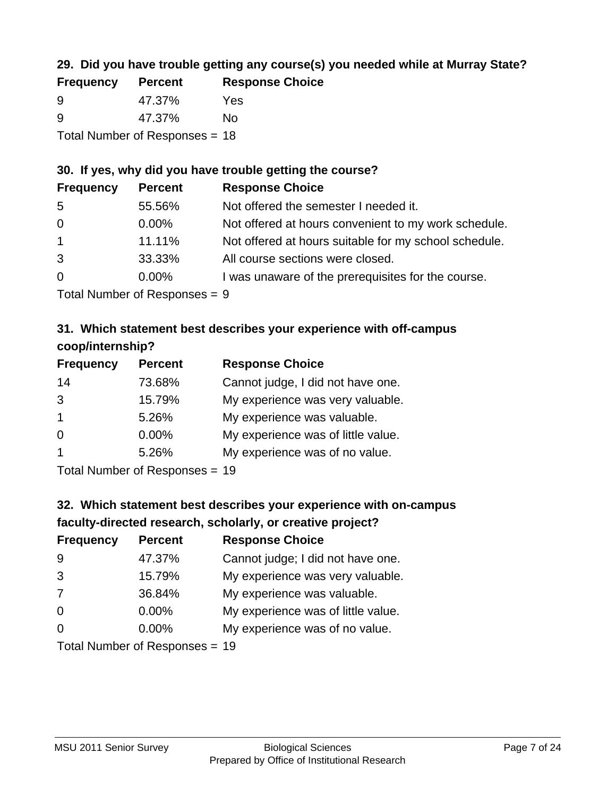## **29. Did you have trouble getting any course(s) you needed while at Murray State?**

| <b>Frequency</b> | <b>Percent</b>                 | <b>Response Choice</b> |
|------------------|--------------------------------|------------------------|
| -9               | 47.37%                         | Yes                    |
| -9               | 47.37%                         | Nο                     |
|                  | Total Number of Responses = 18 |                        |

#### **30. If yes, why did you have trouble getting the course?**

| <b>Frequency</b> | <b>Percent</b> | <b>Response Choice</b>                                |
|------------------|----------------|-------------------------------------------------------|
| -5               | 55.56%         | Not offered the semester I needed it.                 |
| $\overline{0}$   | $0.00\%$       | Not offered at hours convenient to my work schedule.  |
| $\overline{1}$   | 11.11%         | Not offered at hours suitable for my school schedule. |
| 3                | 33.33%         | All course sections were closed.                      |
| $\overline{0}$   | $0.00\%$       | I was unaware of the prerequisites for the course.    |
|                  |                |                                                       |

Total Number of Responses = 9

## **31. Which statement best describes your experience with off-campus coop/internship?**

| <b>Frequency</b> | <b>Percent</b> | <b>Response Choice</b>             |
|------------------|----------------|------------------------------------|
| 14               | 73.68%         | Cannot judge, I did not have one.  |
| 3                | 15.79%         | My experience was very valuable.   |
| $\mathbf{1}$     | 5.26%          | My experience was valuable.        |
| 0                | $0.00\%$       | My experience was of little value. |
| 1                | 5.26%          | My experience was of no value.     |
|                  |                |                                    |

Total Number of Responses = 19

## **32. Which statement best describes your experience with on-campus faculty-directed research, scholarly, or creative project?**

| <b>Frequency</b> | <b>Percent</b>               | <b>Response Choice</b>             |
|------------------|------------------------------|------------------------------------|
| 9                | 47.37%                       | Cannot judge; I did not have one.  |
| 3                | 15.79%                       | My experience was very valuable.   |
| 7                | 36.84%                       | My experience was valuable.        |
| $\Omega$         | $0.00\%$                     | My experience was of little value. |
| $\Omega$         | 0.00%                        | My experience was of no value.     |
|                  | Total Number of Deepensee 10 |                                    |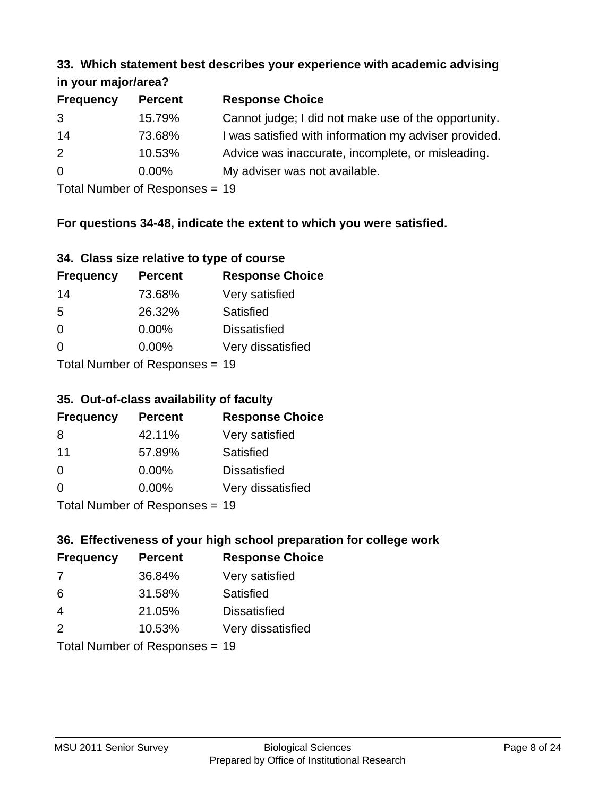#### **33. Which statement best describes your experience with academic advising in your major/area?**

| $\mathbf{u}$ yvu $\mathbf{u}$ yvu $\mathbf{v}$ |                |                                                       |  |
|------------------------------------------------|----------------|-------------------------------------------------------|--|
| <b>Frequency</b>                               | <b>Percent</b> | <b>Response Choice</b>                                |  |
| 3                                              | 15.79%         | Cannot judge; I did not make use of the opportunity.  |  |
| 14                                             | 73.68%         | I was satisfied with information my adviser provided. |  |
| 2                                              | 10.53%         | Advice was inaccurate, incomplete, or misleading.     |  |
| $\overline{0}$                                 | $0.00\%$       | My adviser was not available.                         |  |
|                                                |                |                                                       |  |

Total Number of Responses = 19

## **For questions 34-48, indicate the extent to which you were satisfied.**

| 34. Class size relative to type of course |  |  |  |  |  |  |  |  |
|-------------------------------------------|--|--|--|--|--|--|--|--|
|-------------------------------------------|--|--|--|--|--|--|--|--|

| <b>Frequency</b> | <b>Percent</b>                 | <b>Response Choice</b> |
|------------------|--------------------------------|------------------------|
| 14               | 73.68%                         | Very satisfied         |
| -5               | 26.32%                         | Satisfied              |
| $\Omega$         | 0.00%                          | <b>Dissatisfied</b>    |
| $\Omega$         | $0.00\%$                       | Very dissatisfied      |
|                  | Total Number of Responses - 19 |                        |

Total Number of Responses = 19

#### **35. Out-of-class availability of faculty**

| <b>Frequency</b>          | <b>Percent</b> | <b>Response Choice</b> |  |
|---------------------------|----------------|------------------------|--|
| 8                         | 42.11%         | Very satisfied         |  |
| 11                        | 57.89%         | Satisfied              |  |
| $\Omega$                  | $0.00\%$       | <b>Dissatisfied</b>    |  |
| $\Omega$                  | 0.00%          | Very dissatisfied      |  |
| Total Number of Desponses |                |                        |  |

Total Number of Responses = 19

## **36. Effectiveness of your high school preparation for college work**

| <b>Frequency</b> | <b>Percent</b>            | <b>Response Choice</b> |
|------------------|---------------------------|------------------------|
| 7                | 36.84%                    | Very satisfied         |
| 6                | 31.58%                    | Satisfied              |
| $\overline{4}$   | 21.05%                    | <b>Dissatisfied</b>    |
| $\mathcal{P}$    | 10.53%                    | Very dissatisfied      |
|                  | Total Number of Desponses |                        |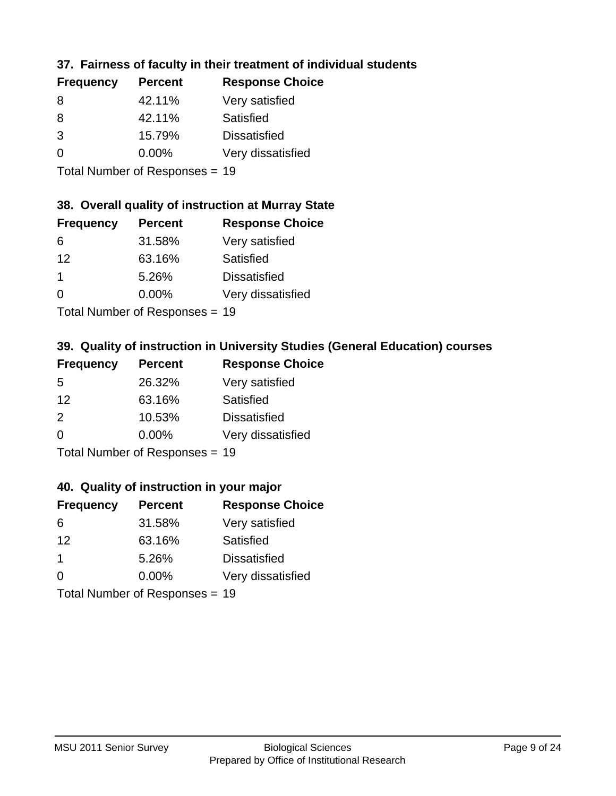## **37. Fairness of faculty in their treatment of individual students**

| <b>Frequency</b> | <b>Percent</b> | <b>Response Choice</b> |
|------------------|----------------|------------------------|
| 8                | 42.11%         | Very satisfied         |
| 8                | 42.11%         | Satisfied              |
| 3                | 15.79%         | <b>Dissatisfied</b>    |
| $\Omega$         | $0.00\%$       | Very dissatisfied      |
|                  |                |                        |

Total Number of Responses = 19

#### **38. Overall quality of instruction at Murray State**

| <b>Frequency</b>     | <b>Percent</b> | <b>Response Choice</b> |
|----------------------|----------------|------------------------|
| 6                    | 31.58%         | Very satisfied         |
| 12                   | 63.16%         | Satisfied              |
| $\blacktriangleleft$ | 5.26%          | <b>Dissatisfied</b>    |
| $\Omega$             | 0.00%          | Very dissatisfied      |
|                      |                |                        |

Total Number of Responses = 19

## **39. Quality of instruction in University Studies (General Education) courses**

| <b>Frequency</b> | <b>Percent</b>                  | <b>Response Choice</b> |
|------------------|---------------------------------|------------------------|
| .5               | 26.32%                          | Very satisfied         |
| 12               | 63.16%                          | Satisfied              |
| $\mathcal{P}$    | 10.53%                          | <b>Dissatisfied</b>    |
| $\Omega$         | 0.00%                           | Very dissatisfied      |
|                  | $Total$ Number of Despanses $-$ |                        |

Total Number of Responses = 19

#### **40. Quality of instruction in your major**

| <b>Frequency</b> | <b>Percent</b>             | <b>Response Choice</b> |
|------------------|----------------------------|------------------------|
| 6                | 31.58%                     | Very satisfied         |
| 12               | 63.16%                     | Satisfied              |
| 1                | 5.26%                      | <b>Dissatisfied</b>    |
| $\Omega$         | 0.00%                      | Very dissatisfied      |
|                  | Tatal Manakan af Dagmanage |                        |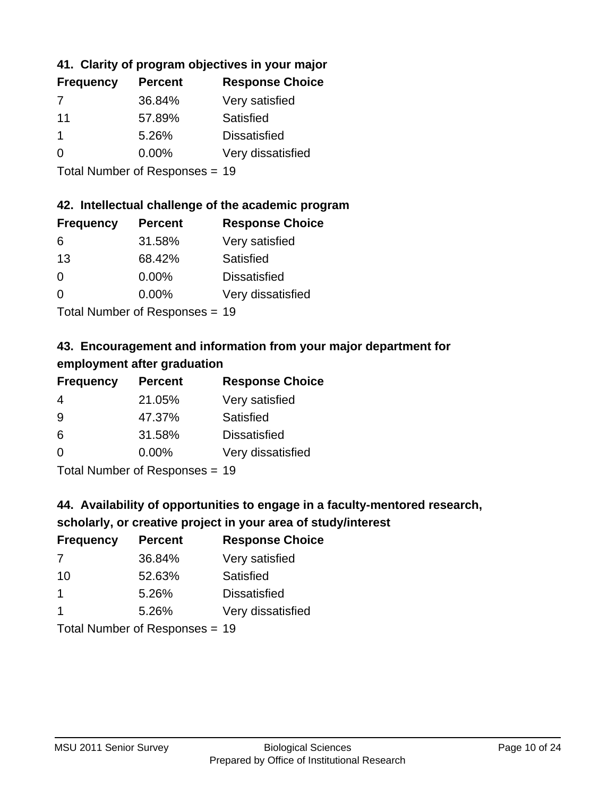## **41. Clarity of program objectives in your major**

| <b>Frequency</b> | <b>Percent</b> | <b>Response Choice</b> |
|------------------|----------------|------------------------|
|                  | 36.84%         | Very satisfied         |
| 11               | 57.89%         | Satisfied              |
|                  | 5.26%          | <b>Dissatisfied</b>    |
| $\Omega$         | $0.00\%$       | Very dissatisfied      |
|                  |                |                        |

Total Number of Responses = 19

#### **42. Intellectual challenge of the academic program**

| <b>Frequency</b> | <b>Percent</b> | <b>Response Choice</b> |
|------------------|----------------|------------------------|
| 6                | 31.58%         | Very satisfied         |
| 13               | 68.42%         | Satisfied              |
| $\Omega$         | $0.00\%$       | <b>Dissatisfied</b>    |
| $\Omega$         | 0.00%          | Very dissatisfied      |
|                  |                |                        |

Total Number of Responses = 19

## **43. Encouragement and information from your major department for employment after graduation**

| <b>Frequency</b> | <b>Percent</b> | <b>Response Choice</b> |
|------------------|----------------|------------------------|
| 4                | 21.05%         | Very satisfied         |
| 9                | 47.37%         | Satisfied              |
| 6                | 31.58%         | <b>Dissatisfied</b>    |
| $\Omega$         | 0.00%          | Very dissatisfied      |
|                  |                |                        |

Total Number of Responses = 19

## **44. Availability of opportunities to engage in a faculty-mentored research,**

## **scholarly, or creative project in your area of study/interest**

| <b>Frequency</b> | <b>Percent</b> | <b>Response Choice</b> |
|------------------|----------------|------------------------|
| 7                | 36.84%         | Very satisfied         |
| 10               | 52.63%         | Satisfied              |
|                  | 5.26%          | <b>Dissatisfied</b>    |
|                  | 5.26%          | Very dissatisfied      |
|                  |                |                        |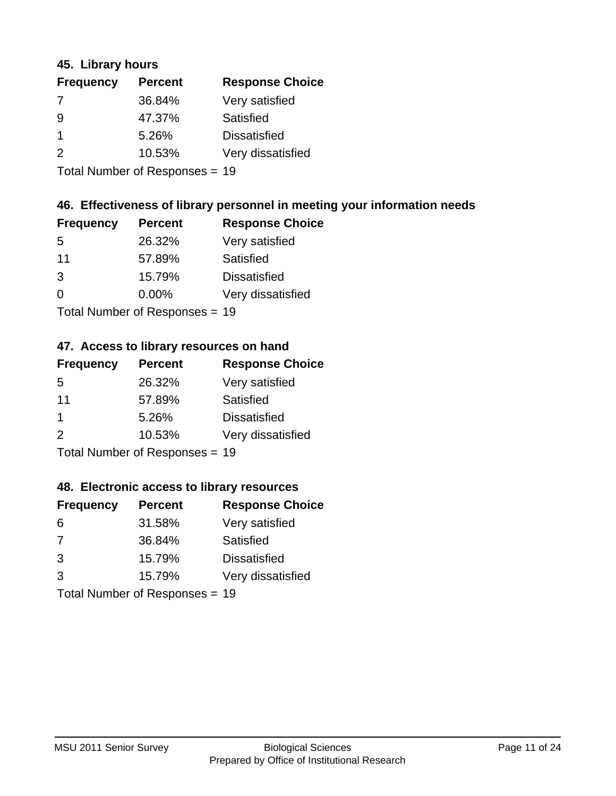#### **45. Library hours**

| <b>Frequency</b> | <b>Percent</b> | <b>Response Choice</b> |
|------------------|----------------|------------------------|
| 7                | 36.84%         | Very satisfied         |
| 9                | 47.37%         | Satisfied              |
|                  | 5.26%          | <b>Dissatisfied</b>    |
| $\mathcal{P}$    | 10.53%         | Very dissatisfied      |
|                  |                |                        |

Total Number of Responses = 19

#### **46. Effectiveness of library personnel in meeting your information needs**

| <b>Frequency</b> | <b>Percent</b> | <b>Response Choice</b> |
|------------------|----------------|------------------------|
| 5                | 26.32%         | Very satisfied         |
| 11               | 57.89%         | Satisfied              |
| 3                | 15.79%         | <b>Dissatisfied</b>    |
| $\Omega$         | 0.00%          | Very dissatisfied      |
|                  |                |                        |

Total Number of Responses = 19

#### **47. Access to library resources on hand**

| <b>Frequency</b> | <b>Percent</b>             | <b>Response Choice</b> |
|------------------|----------------------------|------------------------|
| 5                | 26.32%                     | Very satisfied         |
| 11               | 57.89%                     | Satisfied              |
| -1               | 5.26%                      | <b>Dissatisfied</b>    |
| $\mathcal{P}$    | 10.53%                     | Very dissatisfied      |
|                  | Tatal Manakan af Dagmanage |                        |

Total Number of Responses = 19

#### **48. Electronic access to library resources**

| <b>Frequency</b> | <b>Percent</b>                 | <b>Response Choice</b> |
|------------------|--------------------------------|------------------------|
| 6                | 31.58%                         | Very satisfied         |
| 7                | 36.84%                         | Satisfied              |
| 3                | 15.79%                         | <b>Dissatisfied</b>    |
| 3                | 15.79%                         | Very dissatisfied      |
|                  | Total Number of Responses = 19 |                        |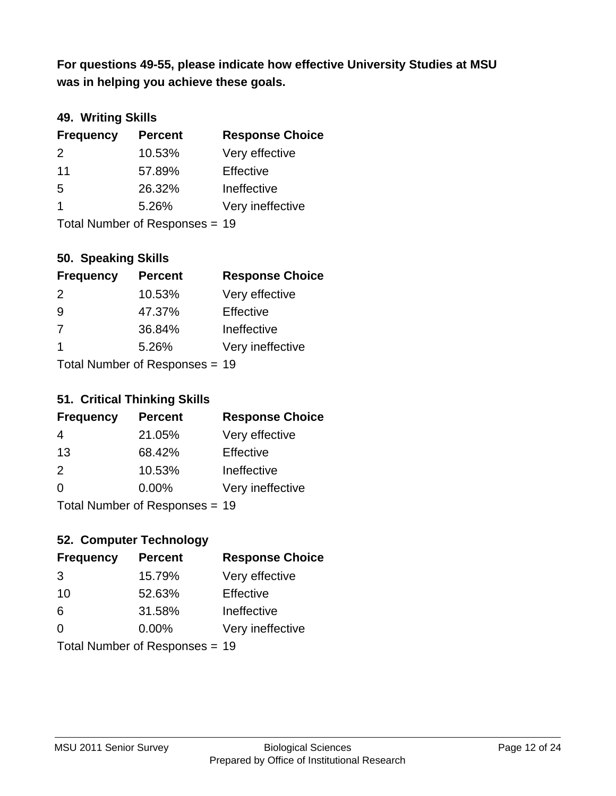**was in helping you achieve these goals. For questions 49-55, please indicate how effective University Studies at MSU** 

## **49. Writing Skills**

| <b>Frequency</b> | <b>Percent</b>                 | <b>Response Choice</b> |
|------------------|--------------------------------|------------------------|
| 2                | 10.53%                         | Very effective         |
| 11               | 57.89%                         | Effective              |
| 5                | 26.32%                         | Ineffective            |
| $\mathbf 1$      | 5.26%                          | Very ineffective       |
|                  | Total Number of Responses = 19 |                        |

#### **50. Speaking Skills**

| <b>Frequency</b> | <b>Percent</b>                 | <b>Response Choice</b> |
|------------------|--------------------------------|------------------------|
| $\mathcal{P}$    | 10.53%                         | Very effective         |
| -9               | 47.37%                         | Effective              |
| 7                | 36.84%                         | Ineffective            |
| -1               | 5.26%                          | Very ineffective       |
|                  | Total Number of Responses = 19 |                        |

# **51. Critical Thinking Skills**

|                            | <u>UNIVAL LIIIIIIIIII UNIIU</u> |                        |
|----------------------------|---------------------------------|------------------------|
| <b>Frequency</b>           | <b>Percent</b>                  | <b>Response Choice</b> |
| 4                          | 21.05%                          | Very effective         |
| 13                         | 68.42%                          | Effective              |
| 2                          | 10.53%                          | Ineffective            |
| $\Omega$                   | 0.00%                           | Very ineffective       |
| Tatal Number of Desperance |                                 |                        |

Total Number of Responses = 19

## **52. Computer Technology**

| <b>Frequency</b>               | <b>Percent</b> | <b>Response Choice</b> |
|--------------------------------|----------------|------------------------|
| 3                              | 15.79%         | Very effective         |
| 10                             | 52.63%         | Effective              |
| 6                              | 31.58%         | Ineffective            |
| $\Omega$                       | 0.00%          | Very ineffective       |
| Total Number of Responses = 19 |                |                        |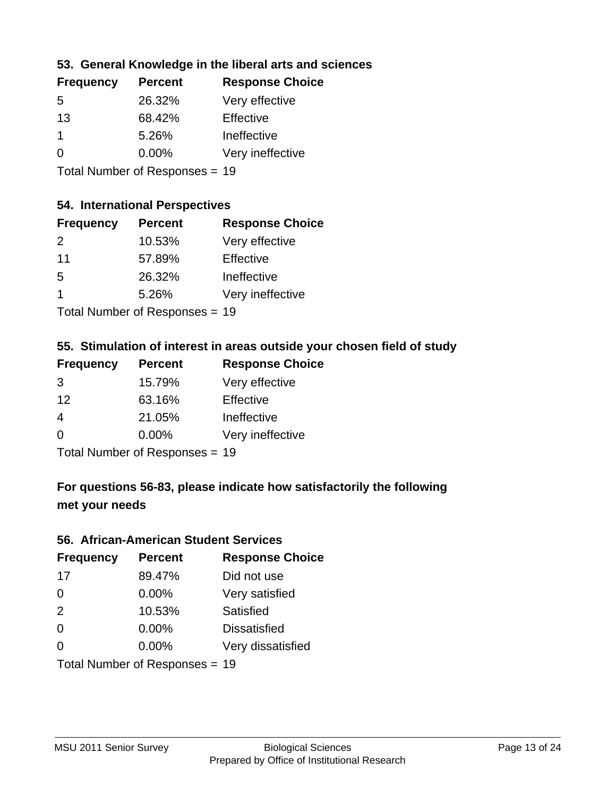## **53. General Knowledge in the liberal arts and sciences**

| <b>Frequency</b> | <b>Percent</b> | <b>Response Choice</b> |
|------------------|----------------|------------------------|
| 5                | 26.32%         | Very effective         |
| 13               | 68.42%         | Effective              |
|                  | 5.26%          | Ineffective            |
| $\Omega$         | 0.00%          | Very ineffective       |
|                  |                |                        |

Total Number of Responses = 19

#### **54. International Perspectives**

| <b>Frequency</b> | <b>Percent</b> | <b>Response Choice</b> |
|------------------|----------------|------------------------|
| $\mathcal{P}$    | 10.53%         | Very effective         |
| 11               | 57.89%         | Effective              |
| .5               | 26.32%         | Ineffective            |
| 1                | 5.26%          | Very ineffective       |
|                  |                |                        |

Total Number of Responses = 19

## **55. Stimulation of interest in areas outside your chosen field of study**

| <b>Frequency</b>               | <b>Percent</b> | <b>Response Choice</b> |
|--------------------------------|----------------|------------------------|
| 3                              | 15.79%         | Very effective         |
| 12                             | 63.16%         | Effective              |
| 4                              | 21.05%         | Ineffective            |
| $\Omega$                       | $0.00\%$       | Very ineffective       |
| Total Number of Responses = 19 |                |                        |

## **For questions 56-83, please indicate how satisfactorily the following met your needs**

#### **56. African-American Student Services**

| <b>Frequency</b> | <b>Percent</b>                 | <b>Response Choice</b> |
|------------------|--------------------------------|------------------------|
| 17               | 89.47%                         | Did not use            |
| $\Omega$         | $0.00\%$                       | Very satisfied         |
| 2                | 10.53%                         | <b>Satisfied</b>       |
| $\Omega$         | $0.00\%$                       | <b>Dissatisfied</b>    |
| $\Omega$         | 0.00%                          | Very dissatisfied      |
|                  | Total Number of Responses = 19 |                        |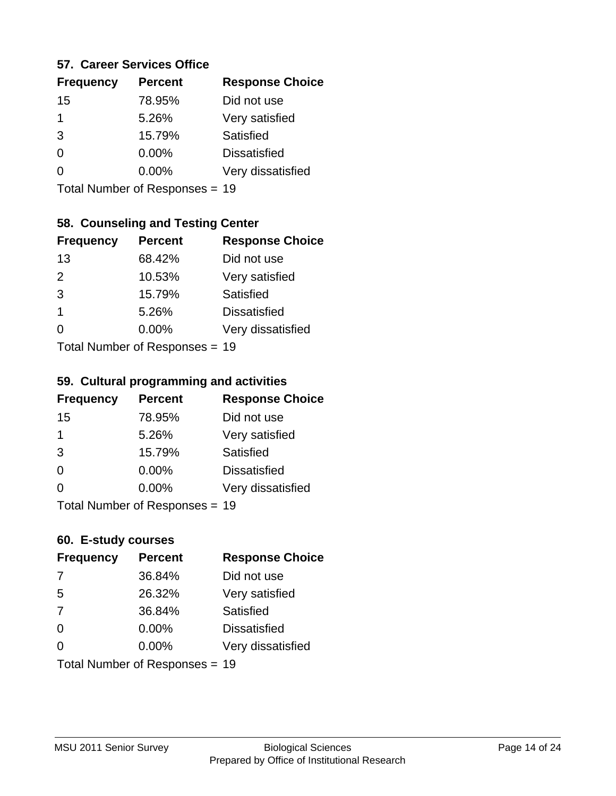#### **57. Career Services Office**

| <b>Frequency</b> | <b>Percent</b> | <b>Response Choice</b> |
|------------------|----------------|------------------------|
| 15               | 78.95%         | Did not use            |
| 1                | 5.26%          | Very satisfied         |
| 3                | 15.79%         | Satisfied              |
| 0                | $0.00\%$       | <b>Dissatisfied</b>    |
|                  | $0.00\%$       | Very dissatisfied      |
|                  |                |                        |

Total Number of Responses = 19

## **58. Counseling and Testing Center**

| <b>Frequency</b>           | <b>Percent</b> | <b>Response Choice</b> |
|----------------------------|----------------|------------------------|
| 13                         | 68.42%         | Did not use            |
| 2                          | 10.53%         | Very satisfied         |
| 3                          | 15.79%         | <b>Satisfied</b>       |
| 1                          | 5.26%          | <b>Dissatisfied</b>    |
| ∩                          | 0.00%          | Very dissatisfied      |
| Total Number of Deepersoon |                |                        |

Total Number of Responses = 19

#### **59. Cultural programming and activities**

| <b>Frequency</b> | <b>Percent</b>                 | <b>Response Choice</b> |
|------------------|--------------------------------|------------------------|
| 15               | 78.95%                         | Did not use            |
| 1                | 5.26%                          | Very satisfied         |
| 3                | 15.79%                         | Satisfied              |
| $\Omega$         | $0.00\%$                       | <b>Dissatisfied</b>    |
| $\Omega$         | $0.00\%$                       | Very dissatisfied      |
|                  | Total Number of Responses = 19 |                        |

#### **60. E-study courses**

| <b>Frequency</b> | <b>Percent</b>                 | <b>Response Choice</b> |
|------------------|--------------------------------|------------------------|
| 7                | 36.84%                         | Did not use            |
| 5                | 26.32%                         | Very satisfied         |
| 7                | 36.84%                         | Satisfied              |
| $\Omega$         | 0.00%                          | <b>Dissatisfied</b>    |
| $\Omega$         | $0.00\%$                       | Very dissatisfied      |
|                  | Total Number of Responses = 19 |                        |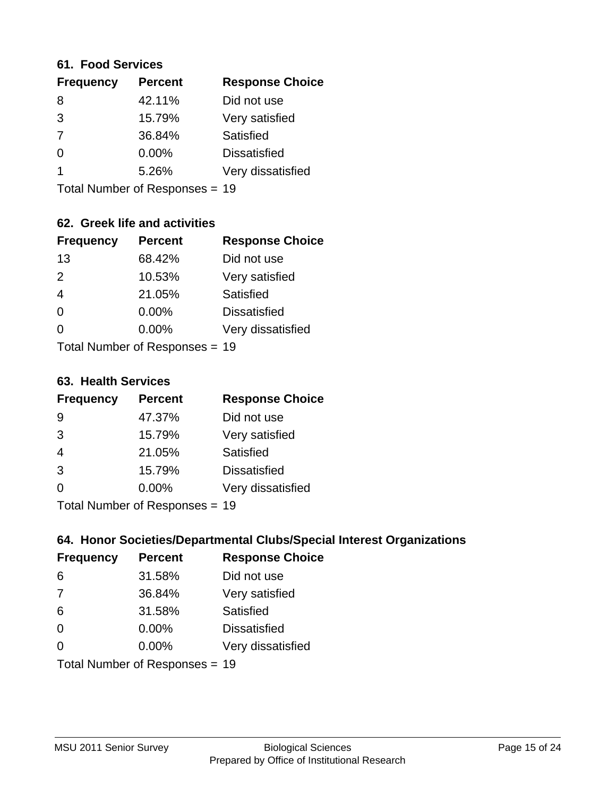#### **61. Food Services**

| <b>Frequency</b> | <b>Percent</b> | <b>Response Choice</b> |
|------------------|----------------|------------------------|
| 8                | 42.11%         | Did not use            |
| 3                | 15.79%         | Very satisfied         |
| 7                | 36.84%         | Satisfied              |
| 0                | 0.00%          | <b>Dissatisfied</b>    |
|                  | 5.26%          | Very dissatisfied      |
|                  |                |                        |

Total Number of Responses = 19

## **62. Greek life and activities**

| <b>Frequency</b>               | <b>Percent</b> | <b>Response Choice</b> |
|--------------------------------|----------------|------------------------|
| 13                             | 68.42%         | Did not use            |
| 2                              | 10.53%         | Very satisfied         |
| $\overline{4}$                 | 21.05%         | Satisfied              |
| $\Omega$                       | 0.00%          | <b>Dissatisfied</b>    |
| 0                              | $0.00\%$       | Very dissatisfied      |
| Total Number of Responses = 19 |                |                        |

**63. Health Services**

| <b>Frequency</b> | <b>Percent</b> | <b>Response Choice</b> |
|------------------|----------------|------------------------|
| 9                | 47.37%         | Did not use            |
| 3                | 15.79%         | Very satisfied         |
| $\overline{4}$   | 21.05%         | Satisfied              |
| 3                | 15.79%         | <b>Dissatisfied</b>    |
| $\Omega$         | 0.00%          | Very dissatisfied      |
|                  |                |                        |

Total Number of Responses = 19

## **64. Honor Societies/Departmental Clubs/Special Interest Organizations**

| <b>Frequency</b> | <b>Percent</b>                 | <b>Response Choice</b> |
|------------------|--------------------------------|------------------------|
| 6                | 31.58%                         | Did not use            |
| 7                | 36.84%                         | Very satisfied         |
| 6                | 31.58%                         | Satisfied              |
| $\Omega$         | 0.00%                          | <b>Dissatisfied</b>    |
| $\Omega$         | 0.00%                          | Very dissatisfied      |
|                  | Total Number of Responses = 19 |                        |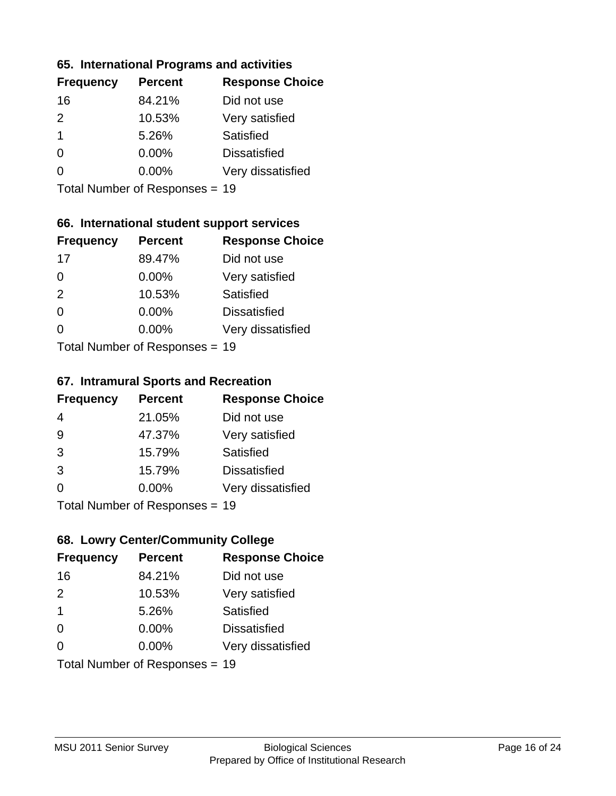#### **65. International Programs and activities**

| <b>Frequency</b> | <b>Percent</b> | <b>Response Choice</b> |
|------------------|----------------|------------------------|
| 16               | 84.21%         | Did not use            |
| $\mathcal{P}$    | 10.53%         | Very satisfied         |
| 1                | 5.26%          | Satisfied              |
| O                | $0.00\%$       | <b>Dissatisfied</b>    |
|                  | $0.00\%$       | Very dissatisfied      |
|                  |                |                        |

Total Number of Responses = 19

## **66. International student support services**

| <b>Frequency</b> | <b>Percent</b>                  | <b>Response Choice</b> |
|------------------|---------------------------------|------------------------|
| 17               | 89.47%                          | Did not use            |
| $\Omega$         | $0.00\%$                        | Very satisfied         |
| 2                | 10.53%                          | Satisfied              |
| $\Omega$         | $0.00\%$                        | <b>Dissatisfied</b>    |
| $\Omega$         | $0.00\%$                        | Very dissatisfied      |
|                  | $Total$ Number of Despasses $-$ |                        |

Total Number of Responses = 19

#### **67. Intramural Sports and Recreation**

| <b>Frequency</b> | <b>Percent</b>            | <b>Response Choice</b> |
|------------------|---------------------------|------------------------|
| 4                | 21.05%                    | Did not use            |
| 9                | 47.37%                    | Very satisfied         |
| 3                | 15.79%                    | Satisfied              |
| 3                | 15.79%                    | <b>Dissatisfied</b>    |
| $\Omega$         | 0.00%                     | Very dissatisfied      |
|                  | Total Number of Desponses |                        |

Total Number of Responses = 19

## **68. Lowry Center/Community College**

| <b>Frequency</b>        | <b>Percent</b>                 | <b>Response Choice</b> |
|-------------------------|--------------------------------|------------------------|
| 16                      | 84.21%                         | Did not use            |
| $\mathcal{P}$           | 10.53%                         | Very satisfied         |
| $\overline{\mathbf{1}}$ | 5.26%                          | Satisfied              |
| $\Omega$                | 0.00%                          | <b>Dissatisfied</b>    |
| ∩                       | $0.00\%$                       | Very dissatisfied      |
|                         | Total Number of Responses = 19 |                        |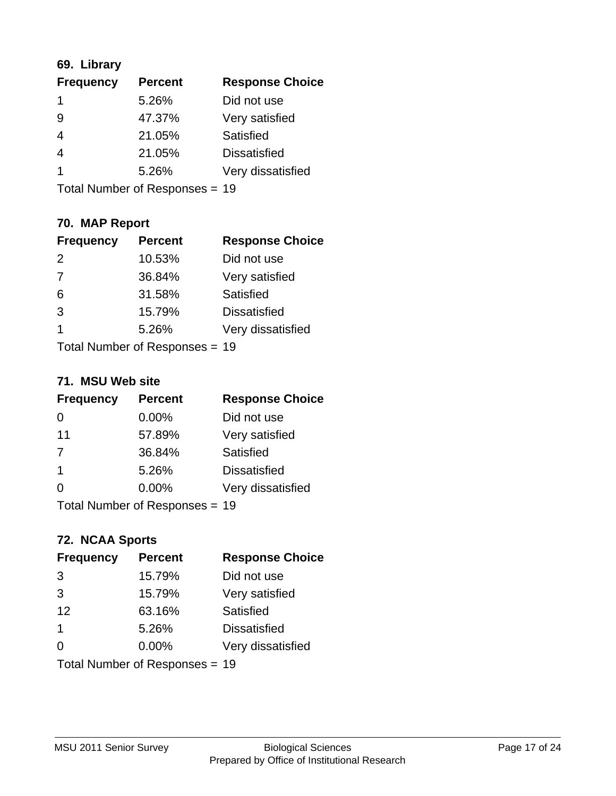## **69. Library**

| <b>Frequency</b> | <b>Percent</b> | <b>Response Choice</b> |
|------------------|----------------|------------------------|
| 1                | 5.26%          | Did not use            |
| 9                | 47.37%         | Very satisfied         |
| 4                | 21.05%         | Satisfied              |
| 4                | 21.05%         | <b>Dissatisfied</b>    |
|                  | 5.26%          | Very dissatisfied      |
|                  |                |                        |

Total Number of Responses = 19

## **70. MAP Report**

| <b>Frequency</b> | <b>Percent</b>                 | <b>Response Choice</b> |
|------------------|--------------------------------|------------------------|
| $\mathcal{P}$    | 10.53%                         | Did not use            |
| 7                | 36.84%                         | Very satisfied         |
| 6                | 31.58%                         | Satisfied              |
| 3                | 15.79%                         | <b>Dissatisfied</b>    |
| 1                | 5.26%                          | Very dissatisfied      |
|                  | Total Number of Responses = 19 |                        |

#### **71. MSU Web site**

| <b>Frequency</b>               | <b>Percent</b> | <b>Response Choice</b> |
|--------------------------------|----------------|------------------------|
| 0                              | $0.00\%$       | Did not use            |
| 11                             | 57.89%         | Very satisfied         |
| 7                              | 36.84%         | Satisfied              |
| -1                             | 5.26%          | <b>Dissatisfied</b>    |
| ∩                              | $0.00\%$       | Very dissatisfied      |
| Total Number of Responses = 19 |                |                        |

## **72. NCAA Sports**

| <b>Frequency</b>               | <b>Percent</b> | <b>Response Choice</b> |
|--------------------------------|----------------|------------------------|
| 3                              | 15.79%         | Did not use            |
| 3                              | 15.79%         | Very satisfied         |
| 12                             | 63.16%         | <b>Satisfied</b>       |
| $\mathbf 1$                    | 5.26%          | <b>Dissatisfied</b>    |
| $\Omega$                       | $0.00\%$       | Very dissatisfied      |
| Total Number of Responses = 19 |                |                        |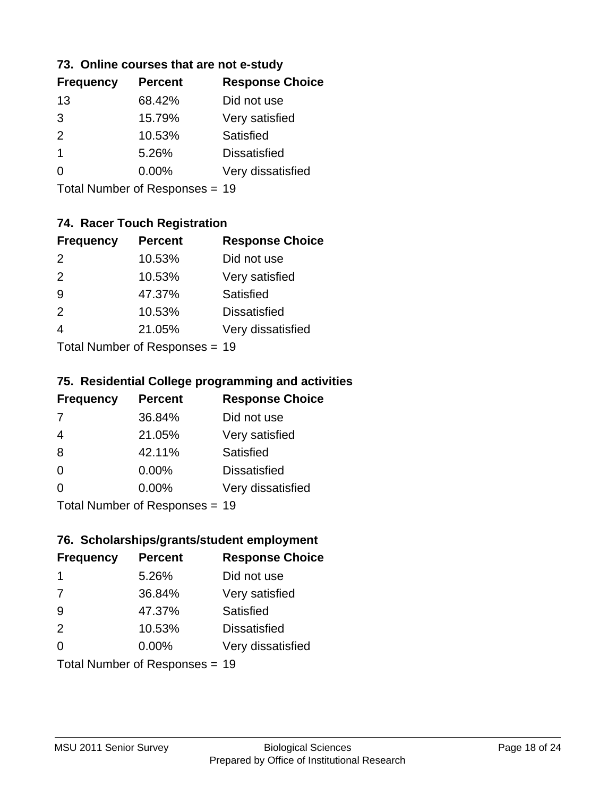#### **73. Online courses that are not e-study**

| <b>Frequency</b> | <b>Percent</b> | <b>Response Choice</b> |
|------------------|----------------|------------------------|
| 13               | 68.42%         | Did not use            |
| 3                | 15.79%         | Very satisfied         |
| $\mathcal{P}$    | 10.53%         | Satisfied              |
| 1                | 5.26%          | <b>Dissatisfied</b>    |
|                  | $0.00\%$       | Very dissatisfied      |
|                  |                |                        |

Total Number of Responses = 19

## **74. Racer Touch Registration**

| <b>Frequency</b>           | <b>Percent</b> | <b>Response Choice</b> |
|----------------------------|----------------|------------------------|
| 2                          | 10.53%         | Did not use            |
| 2                          | 10.53%         | Very satisfied         |
| 9                          | 47.37%         | <b>Satisfied</b>       |
| $\mathcal{P}$              | 10.53%         | <b>Dissatisfied</b>    |
|                            | 21.05%         | Very dissatisfied      |
| Tatal Number of Desperance |                |                        |

Total Number of Responses = 19

#### **75. Residential College programming and activities**

| <b>Frequency</b> | <b>Percent</b>                  | <b>Response Choice</b> |
|------------------|---------------------------------|------------------------|
| 7                | 36.84%                          | Did not use            |
| $\overline{4}$   | 21.05%                          | Very satisfied         |
| 8                | 42.11%                          | Satisfied              |
| $\Omega$         | 0.00%                           | <b>Dissatisfied</b>    |
| $\Omega$         | 0.00%                           | Very dissatisfied      |
|                  | $Total$ Number of Despasses $-$ |                        |

Total Number of Responses = 19

#### **76. Scholarships/grants/student employment**

| <b>Frequency</b> | <b>Percent</b>                 | <b>Response Choice</b> |
|------------------|--------------------------------|------------------------|
| -1               | 5.26%                          | Did not use            |
| 7                | 36.84%                         | Very satisfied         |
| 9                | 47.37%                         | Satisfied              |
| 2                | 10.53%                         | <b>Dissatisfied</b>    |
| $\Omega$         | 0.00%                          | Very dissatisfied      |
|                  | Total Number of Responses = 19 |                        |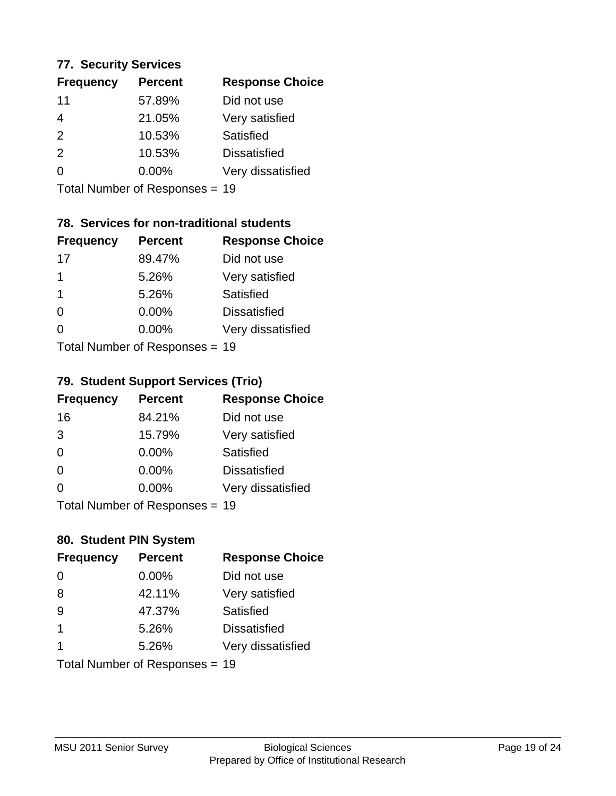#### **77. Security Services**

| <b>Frequency</b> | <b>Percent</b> | <b>Response Choice</b> |
|------------------|----------------|------------------------|
| 11               | 57.89%         | Did not use            |
| 4                | 21.05%         | Very satisfied         |
| 2                | 10.53%         | Satisfied              |
| 2                | 10.53%         | <b>Dissatisfied</b>    |
| $\Omega$         | $0.00\%$       | Very dissatisfied      |
|                  |                |                        |

Total Number of Responses = 19

## **78. Services for non-traditional students**

| <b>Frequency</b>           | <b>Percent</b> | <b>Response Choice</b> |  |
|----------------------------|----------------|------------------------|--|
| 17                         | 89.47%         | Did not use            |  |
| 1                          | 5.26%          | Very satisfied         |  |
| 1                          | 5.26%          | Satisfied              |  |
| $\Omega$                   | $0.00\%$       | <b>Dissatisfied</b>    |  |
| ∩                          | 0.00%          | Very dissatisfied      |  |
| Total Number of Deepersoon |                |                        |  |

Total Number of Responses = 19

#### **79. Student Support Services (Trio)**

| <b>Frequency</b> | <b>Percent</b>            | <b>Response Choice</b> |
|------------------|---------------------------|------------------------|
| 16               | 84.21%                    | Did not use            |
| 3                | 15.79%                    | Very satisfied         |
| $\Omega$         | $0.00\%$                  | <b>Satisfied</b>       |
| $\Omega$         | $0.00\%$                  | <b>Dissatisfied</b>    |
| $\Omega$         | 0.00%                     | Very dissatisfied      |
|                  | Total Number of Desponses |                        |

Total Number of Responses = 19

## **80. Student PIN System**

| <b>Frequency</b>     | <b>Percent</b>                 | <b>Response Choice</b> |
|----------------------|--------------------------------|------------------------|
| 0                    | 0.00%                          | Did not use            |
| 8                    | 42.11%                         | Very satisfied         |
| 9                    | 47.37%                         | Satisfied              |
| $\blacktriangleleft$ | 5.26%                          | <b>Dissatisfied</b>    |
| 1                    | 5.26%                          | Very dissatisfied      |
|                      | Total Number of Responses = 19 |                        |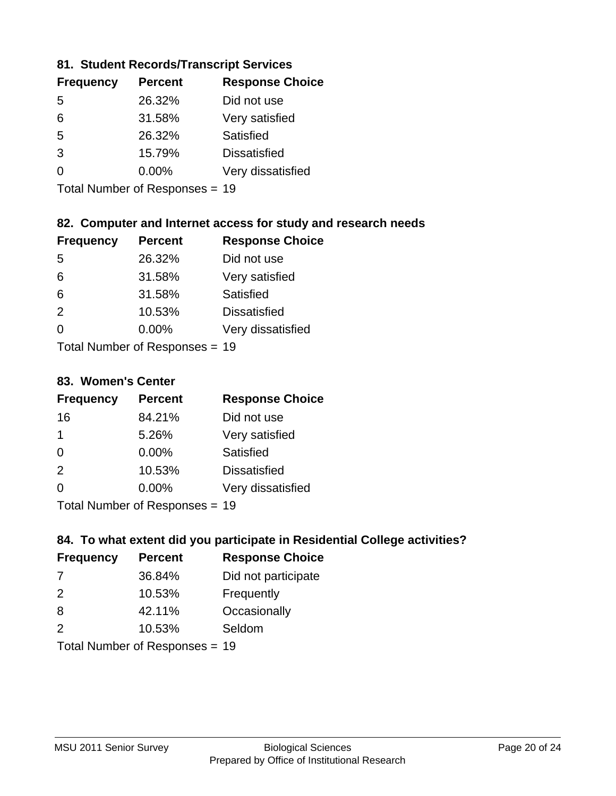#### **81. Student Records/Transcript Services**

| <b>Percent</b> | <b>Response Choice</b> |
|----------------|------------------------|
| 26.32%         | Did not use            |
| 31.58%         | Very satisfied         |
| 26.32%         | Satisfied              |
| 15.79%         | <b>Dissatisfied</b>    |
| $0.00\%$       | Very dissatisfied      |
|                |                        |

Total Number of Responses = 19

## **82. Computer and Internet access for study and research needs**

| <b>Frequency</b>          | <b>Percent</b> | <b>Response Choice</b> |
|---------------------------|----------------|------------------------|
| -5                        | 26.32%         | Did not use            |
| 6                         | 31.58%         | Very satisfied         |
| 6                         | 31.58%         | Satisfied              |
| 2                         | 10.53%         | <b>Dissatisfied</b>    |
| $\Omega$                  | 0.00%          | Very dissatisfied      |
| Total Number of Deepensee |                |                        |

Total Number of Responses = 19

#### **83. Women's Center**

| <b>Frequency</b>          | <b>Percent</b> | <b>Response Choice</b> |
|---------------------------|----------------|------------------------|
| 16                        | 84.21%         | Did not use            |
| $\mathbf 1$               | 5.26%          | Very satisfied         |
| $\Omega$                  | $0.00\%$       | Satisfied              |
| 2                         | 10.53%         | <b>Dissatisfied</b>    |
| $\Omega$                  | 0.00%          | Very dissatisfied      |
| Total Number of Deepersee |                |                        |

Total Number of Responses = 19

## **84. To what extent did you participate in Residential College activities?**

| <b>Frequency</b>          | <b>Percent</b> | <b>Response Choice</b> |
|---------------------------|----------------|------------------------|
| 7                         | 36.84%         | Did not participate    |
| $\mathcal{P}$             | 10.53%         | Frequently             |
| 8                         | 42.11%         | Occasionally           |
| $\mathcal{P}$             | 10.53%         | Seldom                 |
| The HILL of December 1999 |                |                        |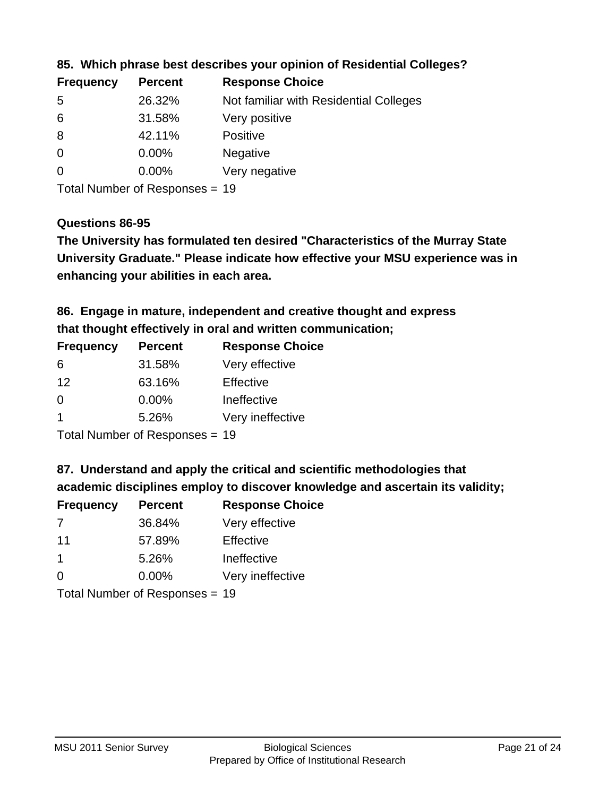| <b>Frequency</b> | <b>Percent</b> | <b>Response Choice</b>                 |
|------------------|----------------|----------------------------------------|
| -5               | 26.32%         | Not familiar with Residential Colleges |
| 6                | 31.58%         | Very positive                          |
| 8                | 42.11%         | <b>Positive</b>                        |
| $\overline{0}$   | $0.00\%$       | <b>Negative</b>                        |
| $\overline{0}$   | $0.00\%$       | Very negative                          |
|                  |                |                                        |

#### **85. Which phrase best describes your opinion of Residential Colleges?**

Total Number of Responses = 19

#### **Questions 86-95**

**University Graduate." Please indicate how effective your MSU experience was in The University has formulated ten desired "Characteristics of the Murray State enhancing your abilities in each area.**

## **86. Engage in mature, independent and creative thought and express that thought effectively in oral and written communication;**

| <b>Frequency</b> | <b>Percent</b> | <b>Response Choice</b> |
|------------------|----------------|------------------------|
| 6                | 31.58%         | Very effective         |
| 12               | 63.16%         | Effective              |
| 0                | 0.00%          | Ineffective            |
|                  | 5.26%          | Very ineffective       |
|                  |                |                        |

Total Number of Responses = 19

#### **87. Understand and apply the critical and scientific methodologies that**

**academic disciplines employ to discover knowledge and ascertain its validity;**

| <b>Frequency</b> | <b>Percent</b> | <b>Response Choice</b> |
|------------------|----------------|------------------------|
| 7                | 36.84%         | Very effective         |
| 11               | 57.89%         | Effective              |
| -1               | 5.26%          | Ineffective            |
| $\Omega$         | 0.00%          | Very ineffective       |
|                  |                |                        |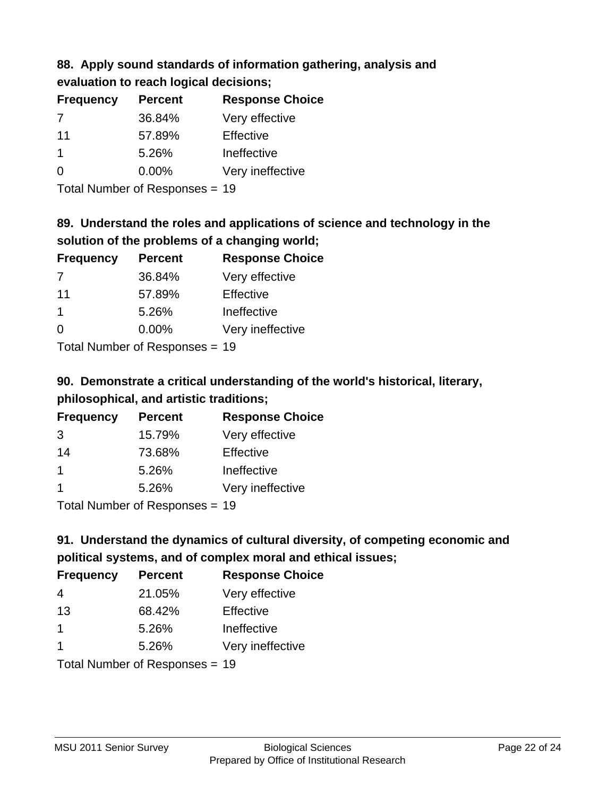## **88. Apply sound standards of information gathering, analysis and evaluation to reach logical decisions;**

| <b>Percent</b> | <b>Response Choice</b> |
|----------------|------------------------|
| 36.84%         | Very effective         |
| 57.89%         | Effective              |
| 5.26%          | Ineffective            |
| $0.00\%$       | Very ineffective       |
|                |                        |

Total Number of Responses = 19

## **89. Understand the roles and applications of science and technology in the solution of the problems of a changing world;**

| <b>Frequency</b> | <b>Percent</b> | <b>Response Choice</b> |
|------------------|----------------|------------------------|
| 7                | 36.84%         | Very effective         |
| 11               | 57.89%         | Effective              |
| -1               | 5.26%          | Ineffective            |
| $\Omega$         | 0.00%          | Very ineffective       |
|                  |                |                        |

Total Number of Responses = 19

## **90. Demonstrate a critical understanding of the world's historical, literary, philosophical, and artistic traditions;**

| <b>Frequency</b>     | <b>Percent</b> | <b>Response Choice</b> |
|----------------------|----------------|------------------------|
| 3                    | 15.79%         | Very effective         |
| 14                   | 73.68%         | Effective              |
| $\blacktriangleleft$ | 5.26%          | Ineffective            |
|                      | 5.26%          | Very ineffective       |
|                      |                |                        |

Total Number of Responses = 19

## **91. Understand the dynamics of cultural diversity, of competing economic and political systems, and of complex moral and ethical issues;**

| <b>Frequency</b>     | <b>Percent</b>                 | <b>Response Choice</b> |
|----------------------|--------------------------------|------------------------|
| 4                    | 21.05%                         | Very effective         |
| 13                   | 68.42%                         | Effective              |
| $\blacktriangleleft$ | 5.26%                          | Ineffective            |
| $\mathbf 1$          | 5.26%                          | Very ineffective       |
|                      | Total Number of Responses = 19 |                        |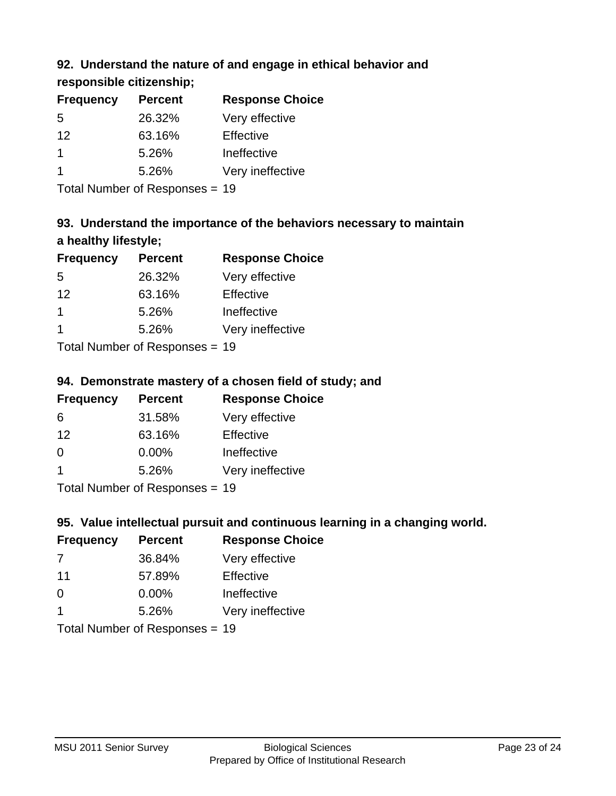## **92. Understand the nature of and engage in ethical behavior and**

**responsible citizenship;**

| <b>Frequency</b> | <b>Percent</b> | <b>Response Choice</b> |
|------------------|----------------|------------------------|
| .5               | 26.32%         | Very effective         |
| 12               | 63.16%         | Effective              |
|                  | 5.26%          | Ineffective            |
|                  | 5.26%          | Very ineffective       |

Total Number of Responses = 19

## **93. Understand the importance of the behaviors necessary to maintain a healthy lifestyle;**

| <b>Frequency</b>            | <b>Percent</b> | <b>Response Choice</b> |
|-----------------------------|----------------|------------------------|
| .5                          | 26.32%         | Very effective         |
| 12                          | 63.16%         | Effective              |
| 1                           | 5.26%          | Ineffective            |
|                             | 5.26%          | Very ineffective       |
| Tatal Manualan af Dannannan |                |                        |

Total Number of Responses = 19

## **94. Demonstrate mastery of a chosen field of study; and**

| <b>Frequency</b> | <b>Percent</b> | <b>Response Choice</b> |
|------------------|----------------|------------------------|
| 6                | 31.58%         | Very effective         |
| 12               | 63.16%         | Effective              |
| $\Omega$         | $0.00\%$       | Ineffective            |
|                  | 5.26%          | Very ineffective       |
|                  |                |                        |

Total Number of Responses = 19

## **95. Value intellectual pursuit and continuous learning in a changing world.**

| <b>Frequency</b> | <b>Percent</b> | <b>Response Choice</b> |
|------------------|----------------|------------------------|
| 7                | 36.84%         | Very effective         |
| 11               | 57.89%         | Effective              |
| $\Omega$         | 0.00%          | Ineffective            |
| $\mathbf 1$      | 5.26%          | Very ineffective       |
|                  |                |                        |